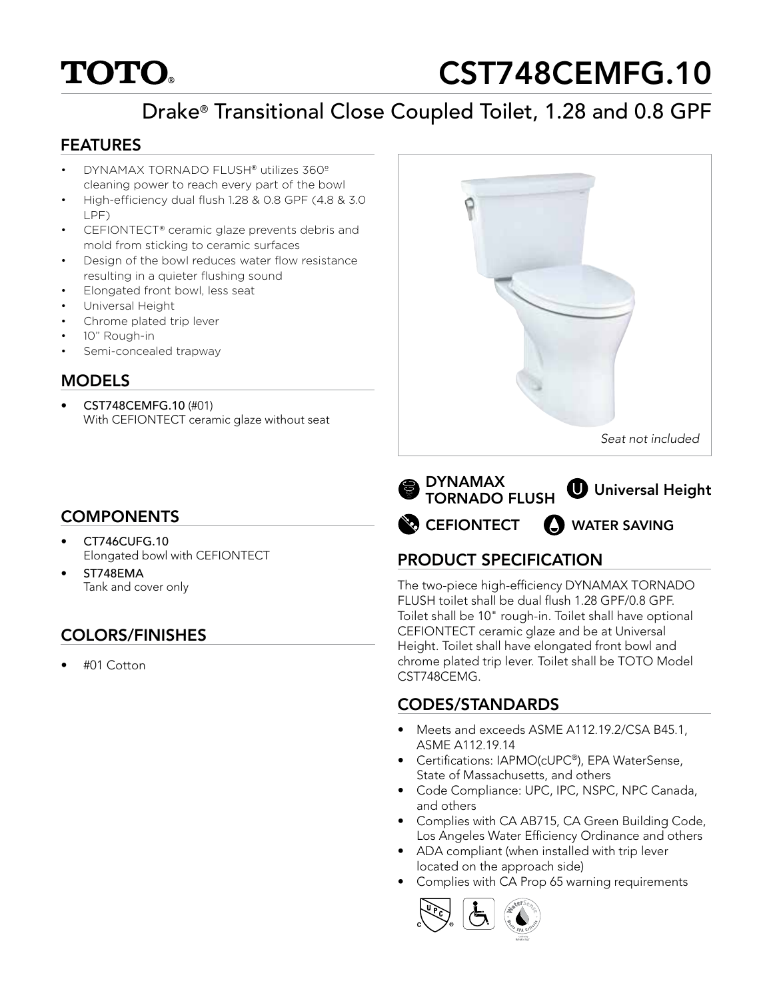# **TOTO.**

# CST748CEMFG.10

# Drake® Transitional Close Coupled Toilet, 1.28 and 0.8 GPF

#### FEATURES

- DYNAMAX TORNADO FLUSH® utilizes 360º cleaning power to reach every part of the bowl
- High-efficiency dual flush 1.28 & 0.8 GPF (4.8 & 3.0 LPF)
- CEFIONTECT® ceramic glaze prevents debris and mold from sticking to ceramic surfaces
- Design of the bowl reduces water flow resistance resulting in a quieter flushing sound
- Elongated front bowl, less seat
- Universal Height
- Chrome plated trip lever
- 10" Rough-in
- Semi-concealed trapway

#### MODELS

• CST748CEMFG.10 (#01) With CEFIONTECT ceramic glaze without seat

# **COMPONENTS**

- CT746CUFG.10 Elongated bowl with CEFIONTECT
- ST748EMA Tank and cover only

# COLORS/FINISHES

• #01 Cotton



**CEFIONTECT** DYNAMAX TORNADO FLUSH **U** Universal Height **SAVING** 

# PRODUCT SPECIFICATION

The two-piece high-efficiency DYNAMAX TORNADO FLUSH toilet shall be dual flush 1.28 GPF/0.8 GPF. Toilet shall be 10" rough-in. Toilet shall have optional CEFIONTECT ceramic glaze and be at Universal Height. Toilet shall have elongated front bowl and chrome plated trip lever. Toilet shall be TOTO Model CST748CEMG.

### CODES/STANDARDS

- Meets and exceeds ASME A112.19.2/CSA B45.1, ASME A112.19.14
- Certifications: IAPMO(cUPC®), EPA WaterSense, State of Massachusetts, and others
- Code Compliance: UPC, IPC, NSPC, NPC Canada, and others
- Complies with CA AB715, CA Green Building Code, Los Angeles Water Efficiency Ordinance and others
- ADA compliant (when installed with trip lever located on the approach side)
- Complies with CA Prop 65 warning requirements